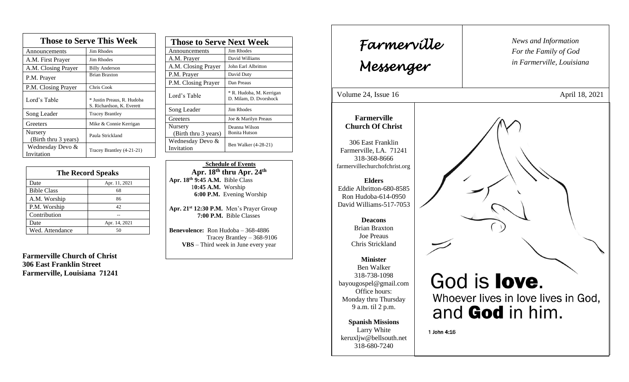| <b>Those to Serve This Week</b> |                                                         |
|---------------------------------|---------------------------------------------------------|
| Announcements                   | <b>Jim Rhodes</b>                                       |
| A.M. First Prayer               | <b>Jim Rhodes</b>                                       |
| A.M. Closing Prayer             | <b>Billy Anderson</b>                                   |
| P.M. Prayer                     | <b>Brian Braxton</b>                                    |
| P.M. Closing Prayer             | Chris Cook                                              |
| Lord's Table                    | * Justin Preaus, R. Hudoba<br>S. Richardson, K. Everett |
| Song Leader                     | <b>Tracey Brantley</b>                                  |
| Greeters                        | Mike & Connie Kerrigan                                  |
| Nursery<br>(Birth thru 3 years) | Paula Strickland                                        |
| Wednesday Devo &<br>Invitation  | Tracey Brantley (4-21-21)                               |

| <b>The Record Speaks</b> |               |
|--------------------------|---------------|
| Date                     | Apr. 11, 2021 |
| <b>Bible Class</b>       | 68            |
| A.M. Worship             | 86            |
| P.M. Worship             | 42            |
| Contribution             |               |
| Date                     | Apr. 14, 2021 |
| Wed. Attendance          |               |

**Farmerville Church of Christ 306 East Franklin Street Farmerville, Louisiana 71241**

| <b>Those to Serve Next Week</b> |                                                    |
|---------------------------------|----------------------------------------------------|
| Announcements                   | Jim Rhodes                                         |
| A.M. Prayer                     | David Williams                                     |
| A.M. Closing Prayer             | John Earl Albritton                                |
| P.M. Prayer                     | David Duty                                         |
| P.M. Closing Prayer             | Dan Preaus                                         |
| Lord's Table                    | * R. Hudoba, M. Kerrigan<br>D. Milam, D. Dvorshock |
| Song Leader                     | <b>Jim Rhodes</b>                                  |
| Greeters                        | Joe & Marilyn Preaus                               |
| Nursery                         | Deanna Wilson                                      |
| (Birth thru 3 years)            | <b>Bonita Hutson</b>                               |
| Wednesday Devo &<br>Invitation  | Ben Walker (4-28-21)                               |

 **Schedule of Events Apr. 18 th thru Apr. 24th Apr. 18 th 9:45 A.M.** Bible Class 1**0:45 A.M.** Worship  **6:00 P.M.** Evening Worship

**Apr. 21st 12:30 P.M.** Men's Prayer Group **7:00 P.M.** Bible Classes

**Benevolence:** Ron Hudoba – 368-4886 Tracey Brantley – 368-9106 **VBS** – Third week in June every year

*News and Information* **Farmerville**  $\parallel$  News and *For the Family of God in Farmerville, Louisiana Messenger*  Volume 24, Issue 16 April 18, 2021 , 2015 **Farmerville Church Of Christ** 306 East Franklin Farmerville, LA. 71241 318-368-8666 farmervillechurchofchrist.org **Elders** Eddie Albritton-680-8585 Ron Hudoba-614-0950 David Williams-517-7053 **Deacons**  Brian Braxton Joe Preaus Chris Strickland **Minister** Ben Walker 318-738-1098 God is **love**. bayougospel@gmail.com Office hours: Whoever lives in love lives in God, Monday thru Thursday 9 a.m. til 2 p.m. and God in him. **Spanish Missions** Larry White 1 John 4:16 keruxljw@bellsouth.net 318-680-7240